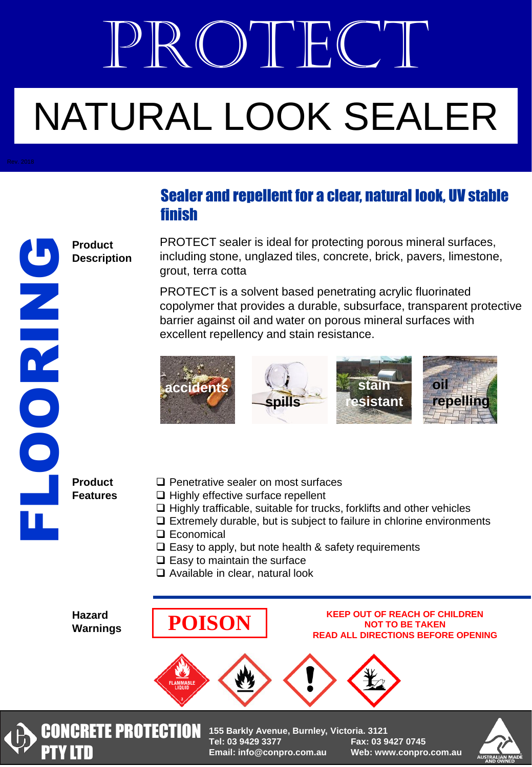# PROTECT NATURAL LOOK SEALER

# Z<br>OOR

# Sealer and repellent for a clear, natural look, UV stable finish

PROTECT sealer is ideal for protecting porous mineral surfaces, including stone, unglazed tiles, concrete, brick, pavers, limestone, grout, terra cotta

PROTECT is a solvent based penetrating acrylic fluorinated copolymer that provides a durable, subsurface, transparent protective barrier against oil and water on porous mineral surfaces with excellent repellency and stain resistance.



**Product Features**

**Product Description**

- $\Box$  Penetrative sealer on most surfaces
- $\Box$  Highly effective surface repellent
- $\Box$  Highly trafficable, suitable for trucks, forklifts and other vehicles
- $\Box$  Extremely durable, but is subject to failure in chlorine environments
- □ Economical
- $\square$  Easy to apply, but note health & safety requirements
- $\Box$  Easy to maintain the surface
- □ Available in clear, natural look

**Hazard Warnings**

## **POISON KEEP OUT OF REACH OF CHILDREN NOT TO BE TAKEN READ ALL DIRECTIONS BEFORE OPENING**





**CONCRETE PROTECTION** 155 Barkly Avenue, Burnley, Victoria. 3121 **Tel: 03 9429 3377 Fax: 03 9427 0745 Email: info@conpro.com.au Web: www.conpro.com.au**